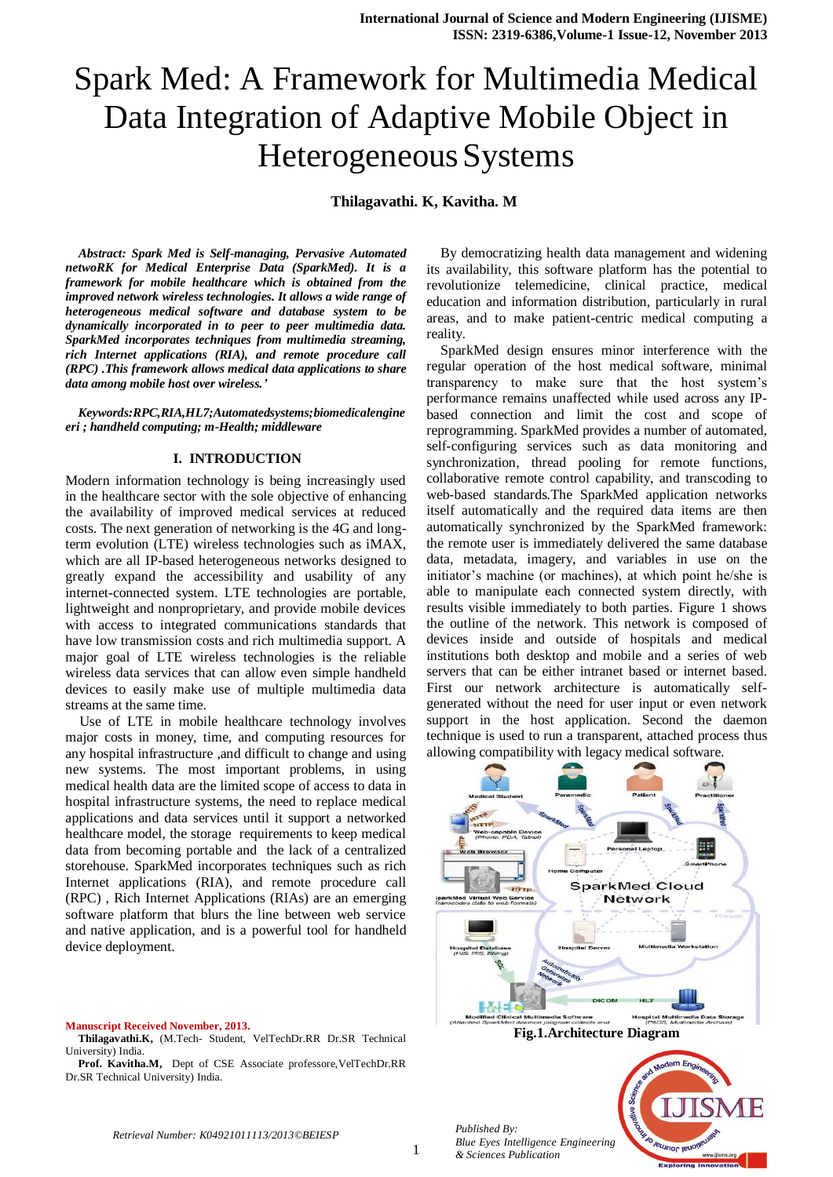# Spark Med: A Framework for Multimedia Medical Data Integration of Adaptive Mobile Object in Heterogeneous Systems

**Thilagavathi. K, Kavitha. M**

*Abstract: Spark Med is Self-managing, Pervasive Automated netwoRK for Medical Enterprise Data (SparkMed). It is a framework for mobile healthcare which is obtained from the improved network wireless technologies. It allows a wide range of heterogeneous medical software and database system to be dynamically incorporated in to peer to peer multimedia data. SparkMed incorporates techniques from multimedia streaming, rich Internet applications (RIA), and remote procedure call (RPC) .This framework allows medical data applications to share data among mobile host over wireless.'*

*Keywords:RPC,RIA,HL7;Automatedsystems;biomedicalengine eri ; handheld computing; m-Health; middleware*

#### **I. INTRODUCTION**

Modern information technology is being increasingly used in the healthcare sector with the sole objective of enhancing the availability of improved medical services at reduced costs. The next generation of networking is the 4G and longterm evolution (LTE) wireless technologies such as iMAX, which are all IP-based heterogeneous networks designed to greatly expand the accessibility and usability of any internet-connected system. LTE technologies are portable, lightweight and nonproprietary, and provide mobile devices with access to integrated communications standards that have low transmission costs and rich multimedia support. A major goal of LTE wireless technologies is the reliable wireless data services that can allow even simple handheld devices to easily make use of multiple multimedia data streams at the same time.

Use of LTE in mobile healthcare technology involves major costs in money, time, and computing resources for any hospital infrastructure ,and difficult to change and using new systems. The most important problems, in using medical health data are the limited scope of access to data in hospital infrastructure systems, the need to replace medical applications and data services until it support a networked healthcare model, the storage requirements to keep medical data from becoming portable and the lack of a centralized storehouse. SparkMed incorporates techniques such as rich Internet applications (RIA), and remote procedure call (RPC) , Rich Internet Applications (RIAs) are an emerging software platform that blurs the line between web service and native application, and is a powerful tool for handheld device deployment.

#### **Manuscript Received November, 2013.**

**Thilagavathi.K,** (M.Tech- Student, VelTechDr.RR Dr.SR Technical University) India.

Prof. Kavitha.M, Dept of CSE Associate professore, VelTechDr.RR Dr.SR Technical University) India.

By democratizing health data management and widening its availability, this software platform has the potential to revolutionize telemedicine, clinical practice, medical education and information distribution, particularly in rural areas, and to make patient-centric medical computing a reality.

SparkMed design ensures minor interference with the regular operation of the host medical software, minimal transparency to make sure that the host system's performance remains unaffected while used across any IPbased connection and limit the cost and scope of reprogramming. SparkMed provides a number of automated, self-configuring services such as data monitoring and synchronization, thread pooling for remote functions, collaborative remote control capability, and transcoding to web-based standards.The SparkMed application networks itself automatically and the required data items are then automatically synchronized by the SparkMed framework: the remote user is immediately delivered the same database data, metadata, imagery, and variables in use on the initiator's machine (or machines), at which point he/she is able to manipulate each connected system directly, with results visible immediately to both parties. Figure 1 shows the outline of the network. This network is composed of devices inside and outside of hospitals and medical institutions both desktop and mobile and a series of web servers that can be either intranet based or internet based. First our network architecture is automatically selfgenerated without the need for user input or even network support in the host application. Second the daemon technique is used to run a transparent, attached process thus allowing compatibility with legacy medical software.



*Published By: Blue Eyes Intelligence Engineering & Sciences Publication*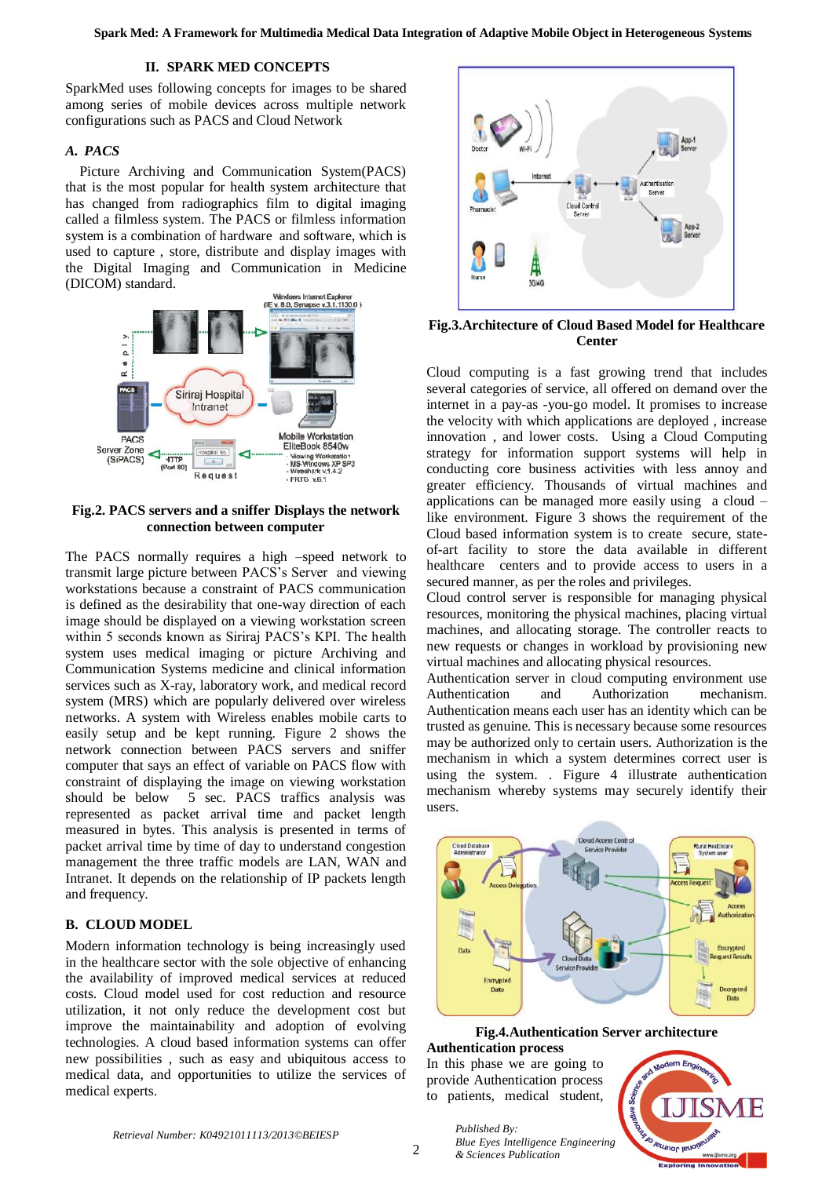#### **II. SPARK MED CONCEPTS**

SparkMed uses following concepts for images to be shared among series of mobile devices across multiple network configurations such as PACS and Cloud Network

#### *A. PACS*

Picture Archiving and Communication System(PACS) that is the most popular for health system architecture that has changed from radiographics film to digital imaging called a filmless system. The PACS or filmless information system is a combination of hardware and software, which is used to capture , store, distribute and display images with the Digital Imaging and Communication in Medicine (DICOM) standard.



**Fig.2. PACS servers and a sniffer Displays the network connection between computer**

The PACS normally requires a high –speed network to transmit large picture between PACS's Server and viewing workstations because a constraint of PACS communication is defined as the desirability that one-way direction of each image should be displayed on a viewing workstation screen within 5 seconds known as Siriraj PACS's KPI. The health system uses medical imaging or picture Archiving and Communication Systems medicine and clinical information services such as X-ray, laboratory work, and medical record system (MRS) which are popularly delivered over wireless networks. A system with Wireless enables mobile carts to easily setup and be kept running. Figure 2 shows the network connection between PACS servers and sniffer computer that says an effect of variable on PACS flow with constraint of displaying the image on viewing workstation should be below 5 sec. PACS traffics analysis was represented as packet arrival time and packet length measured in bytes. This analysis is presented in terms of packet arrival time by time of day to understand congestion management the three traffic models are LAN, WAN and Intranet. It depends on the relationship of IP packets length and frequency.

#### **B. CLOUD MODEL**

Modern information technology is being increasingly used in the healthcare sector with the sole objective of enhancing the availability of improved medical services at reduced costs. Cloud model used for cost reduction and resource utilization, it not only reduce the development cost but improve the maintainability and adoption of evolving technologies. A cloud based information systems can offer new possibilities , such as easy and ubiquitous access to medical data, and opportunities to utilize the services of medical experts.



**Fig.3.Architecture of Cloud Based Model for Healthcare Center**

Cloud computing is a fast growing trend that includes several categories of service, all offered on demand over the internet in a pay-as -you-go model. It promises to increase the velocity with which applications are deployed , increase innovation , and lower costs. Using a Cloud Computing strategy for information support systems will help in conducting core business activities with less annoy and greater efficiency. Thousands of virtual machines and applications can be managed more easily using a cloud – like environment. Figure 3 shows the requirement of the Cloud based information system is to create secure, stateof-art facility to store the data available in different healthcare centers and to provide access to users in a secured manner, as per the roles and privileges.

Cloud control server is responsible for managing physical resources, monitoring the physical machines, placing virtual machines, and allocating storage. The controller reacts to new requests or changes in workload by provisioning new virtual machines and allocating physical resources.

Authentication server in cloud computing environment use Authentication and Authorization mechanism. Authentication means each user has an identity which can be trusted as genuine. This is necessary because some resources may be authorized only to certain users. Authorization is the mechanism in which a system determines correct user is using the system. . Figure 4 illustrate authentication mechanism whereby systems may securely identify their users.



#### **Fig.4.Authentication Server architecture Authentication process**

In this phase we are going to provide Authentication process to patients, medical student,

*& Sciences Publication* 

*Published By:*

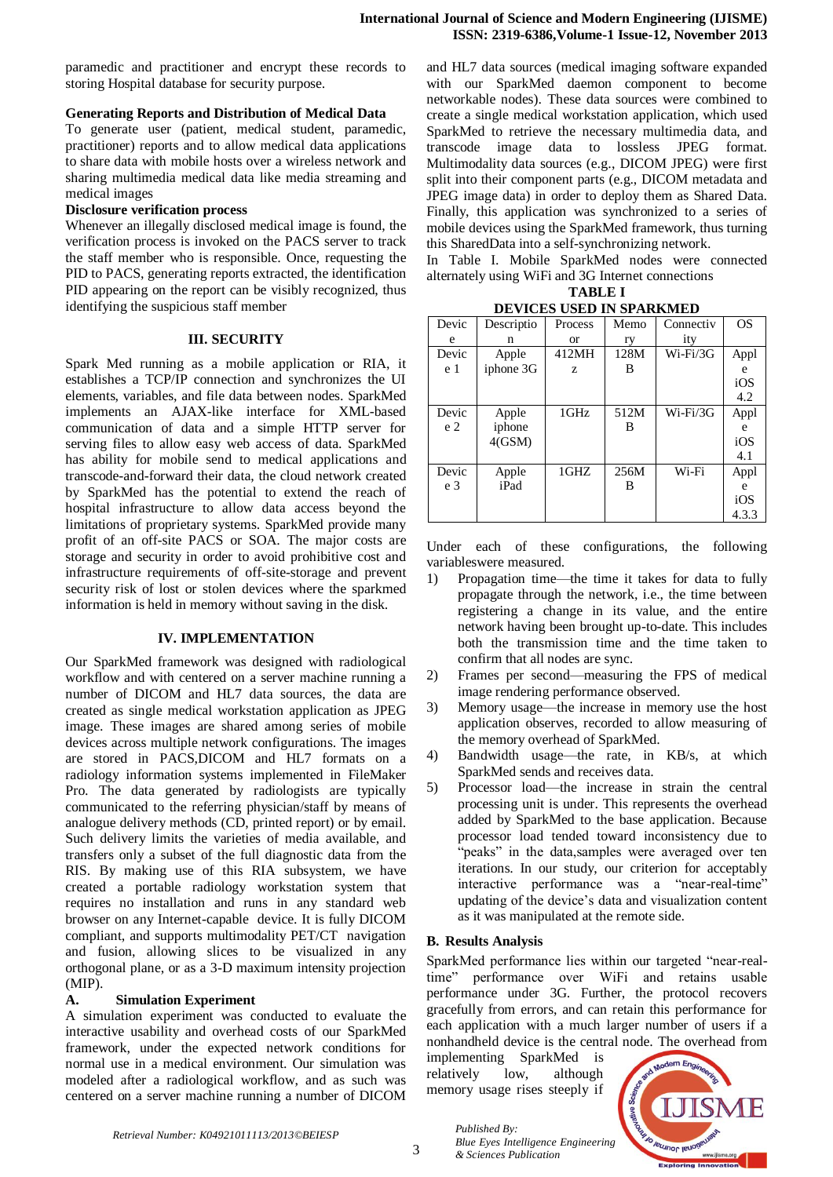paramedic and practitioner and encrypt these records to storing Hospital database for security purpose.

#### **Generating Reports and Distribution of Medical Data**

To generate user (patient, medical student, paramedic, practitioner) reports and to allow medical data applications to share data with mobile hosts over a wireless network and sharing multimedia medical data like media streaming and medical images

#### **Disclosure verification process**

Whenever an illegally disclosed medical image is found, the verification process is invoked on the PACS server to track the staff member who is responsible. Once, requesting the PID to PACS, generating reports extracted, the identification PID appearing on the report can be visibly recognized, thus identifying the suspicious staff member

#### **III. SECURITY**

Spark Med running as a mobile application or RIA, it establishes a TCP/IP connection and synchronizes the UI elements, variables, and file data between nodes. SparkMed implements an AJAX-like interface for XML-based communication of data and a simple HTTP server for serving files to allow easy web access of data. SparkMed has ability for mobile send to medical applications and transcode-and-forward their data, the cloud network created by SparkMed has the potential to extend the reach of hospital infrastructure to allow data access beyond the limitations of proprietary systems. SparkMed provide many profit of an off-site PACS or SOA. The major costs are storage and security in order to avoid prohibitive cost and infrastructure requirements of off-site-storage and prevent security risk of lost or stolen devices where the sparkmed information is held in memory without saving in the disk.

### **IV. IMPLEMENTATION**

Our SparkMed framework was designed with radiological workflow and with centered on a server machine running a number of DICOM and HL7 data sources, the data are created as single medical workstation application as JPEG image. These images are shared among series of mobile devices across multiple network configurations. The images are stored in PACS,DICOM and HL7 formats on a radiology information systems implemented in FileMaker Pro. The data generated by radiologists are typically communicated to the referring physician/staff by means of analogue delivery methods (CD, printed report) or by email. Such delivery limits the varieties of media available, and transfers only a subset of the full diagnostic data from the RIS. By making use of this RIA subsystem, we have created a portable radiology workstation system that requires no installation and runs in any standard web browser on any Internet-capable device. It is fully DICOM compliant, and supports multimodality PET/CT navigation and fusion, allowing slices to be visualized in any orthogonal plane, or as a 3-D maximum intensity projection (MIP).

# **A. Simulation Experiment**

A simulation experiment was conducted to evaluate the interactive usability and overhead costs of our SparkMed framework, under the expected network conditions for normal use in a medical environment. Our simulation was modeled after a radiological workflow, and as such was centered on a server machine running a number of DICOM

and HL7 data sources (medical imaging software expanded with our SparkMed daemon component to become networkable nodes). These data sources were combined to create a single medical workstation application, which used SparkMed to retrieve the necessary multimedia data, and transcode image data to lossless JPEG format. Multimodality data sources (e.g., DICOM JPEG) were first split into their component parts (e.g., DICOM metadata and JPEG image data) in order to deploy them as Shared Data. Finally, this application was synchronized to a series of mobile devices using the SparkMed framework, thus turning this SharedData into a self-synchronizing network.

In Table I. Mobile SparkMed nodes were connected alternately using WiFi and 3G Internet connections

**TABLE I DEVICES USED IN SPARKMED**

| ретсев свер ит вглимпер |            |           |      |             |           |
|-------------------------|------------|-----------|------|-------------|-----------|
| Devic                   | Descriptio | Process   | Memo | Connectiv   | <b>OS</b> |
| e                       | n          | <b>or</b> | ry   | ity         |           |
| Devic                   | Apple      | 412MH     | 128M | $Wi$ -Fi/3G | Appl      |
| e 1                     | iphone 3G  | z         | B    |             | e         |
|                         |            |           |      |             | iOS       |
|                         |            |           |      |             | 4.2       |
| Devic                   | Apple      | 1GHz      | 512M | Wi-Fi/3G    | Appl      |
| e <sub>2</sub>          | iphone     |           | B    |             | e         |
|                         | 4(GSM)     |           |      |             | iOS       |
|                         |            |           |      |             | 4.1       |
| Devic                   | Apple      | 1GHZ      | 256M | Wi-Fi       | Appl      |
| e <sub>3</sub>          | iPad       |           | В    |             | e         |
|                         |            |           |      |             | iOS       |
|                         |            |           |      |             | 4.3.3     |

Under each of these configurations, the following variableswere measured.

- 1) Propagation time—the time it takes for data to fully propagate through the network, i.e., the time between registering a change in its value, and the entire network having been brought up-to-date. This includes both the transmission time and the time taken to confirm that all nodes are sync.
- 2) Frames per second—measuring the FPS of medical image rendering performance observed.
- 3) Memory usage—the increase in memory use the host application observes, recorded to allow measuring of the memory overhead of SparkMed.
- 4) Bandwidth usage—the rate, in KB/s, at which SparkMed sends and receives data.
- 5) Processor load—the increase in strain the central processing unit is under. This represents the overhead added by SparkMed to the base application. Because processor load tended toward inconsistency due to "peaks" in the data, samples were averaged over ten iterations. In our study, our criterion for acceptably interactive performance was a "near-real-time" updating of the device's data and visualization content as it was manipulated at the remote side.

# **B. Results Analysis**

*Published By:*

*& Sciences Publication* 

SparkMed performance lies within our targeted "near-realtime" performance over WiFi and retains usable performance under 3G. Further, the protocol recovers gracefully from errors, and can retain this performance for each application with a much larger number of users if a nonhandheld device is the central node. The overhead from

implementing SparkMed is relatively low, although memory usage rises steeply if